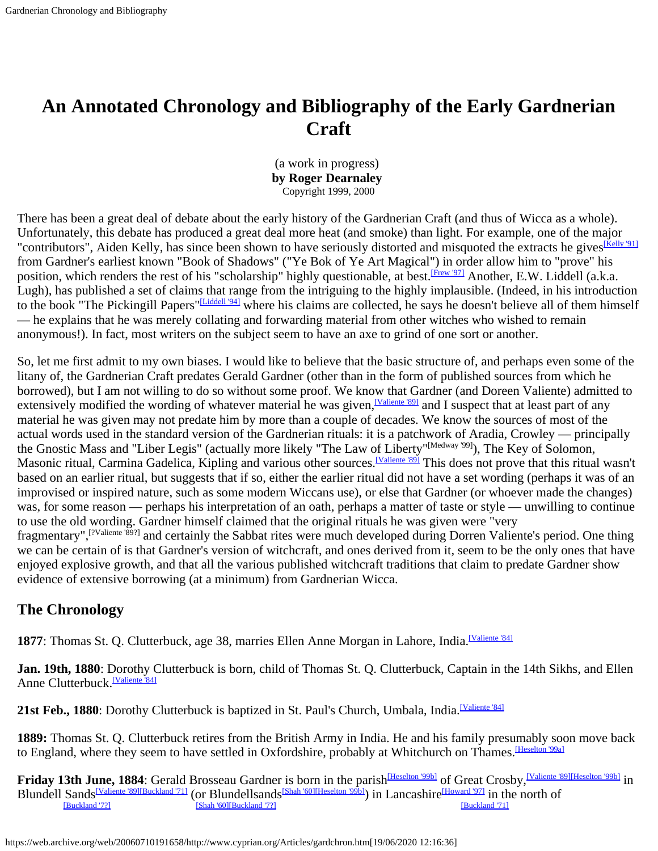# <span id="page-0-0"></span>**An Annotated Chronology and Bibliography of the Early Gardnerian Craft**

(a work in progress) **by Roger Dearnaley** Copyright 1999, 2000

There has been a great deal of debate about the early history of the Gardnerian Craft (and thus of Wicca as a whole). Unfortunately, this debate has produced a great deal more heat (and smoke) than light. For example, one of the major "contributors", Aiden Kelly, has since been shown to have seriously distorted and misquoted the extracts he gives<sup>[Kelly '91]</sup> from Gardner's earliest known "Book of Shadows" ("Ye Bok of Ye Art Magical") in order allow him to "prove" his position, which renders the rest of his "scholarship" highly questionable, at best.<sup>[Frew '97]</sup> Another, E.W. Liddell (a.k.a. Lugh), has published a set of claims that range from the intriguing to the highly implausible. (Indeed, in his introduction to the book "The Pickingill Papers"<sup>[Liddell '94]</sup> where his claims are collected, he says he doesn't believe all of them himself — he explains that he was merely collating and forwarding material from other witches who wished to remain anonymous!). In fact, most writers on the subject seem to have an axe to grind of one sort or another.

So, let me first admit to my own biases. I would like to believe that the basic structure of, and perhaps even some of the litany of, the Gardnerian Craft predates Gerald Gardner (other than in the form of published sources from which he borrowed), but I am not willing to do so without some proof. We know that Gardner (and Doreen Valiente) admitted to extensively modified the wording of whatever material he was given,<sup>[Valiente '89]</sup> and I suspect that at least part of any material he was given may not predate him by more than a couple of decades. We know the sources of most of the actual words used in the standard version of the Gardnerian rituals: it is a patchwork of Aradia, Crowley — principally the Gnostic Mass and "Liber Legis" (actually more likely "The Law of Liberty"[Medway '99]), The Key of Solomon, Masonic ritual, Carmina Gadelica, Kipling and various other sources.<sup>[Valiente 89]</sup> This does not prove that this ritual wasn't based on an earlier ritual, but suggests that if so, either the earlier ritual did not have a set wording (perhaps it was of an improvised or inspired nature, such as some modern Wiccans use), or else that Gardner (or whoever made the changes) was, for some reason — perhaps his interpretation of an oath, perhaps a matter of taste or style — unwilling to continue to use the old wording. Gardner himself claimed that the original rituals he was given were "very fragmentary",[?Valiente '89?] and certainly the Sabbat rites were much developed during Dorren Valiente's period. One thing we can be certain of is that Gardner's version of witchcraft, and ones derived from it, seem to be the only ones that have enjoyed explosive growth, and that all the various published witchcraft traditions that claim to predate Gardner show evidence of extensive borrowing (at a minimum) from Gardnerian Wicca.

### **The Chronology**

1877: Thomas St. Q. Clutterbuck, age 38, marries Ellen Anne Morgan in Lahore, India.<sup>[Valiente '84]</sup>

**Jan. 19th, 1880**: Dorothy Clutterbuck is born, child of Thomas St. Q. Clutterbuck, Captain in the 14th Sikhs, and Ellen Anne Clutterbuck.<sup>[\[Valiente](#page-14-0) '84]</sup>

21st Feb., 1880: Dorothy Clutterbuck is baptized in St. Paul's Church, Umbala, India.<sup>[Valiente '84]</sup>

**1889:** Thomas St. Q. Clutterbuck retires from the British Army in India. He and his family presumably soon move back to England, where they seem to have settled in Oxfordshire, probably at Whitchurch on Thames. Heselton '99al

Friday 13th June, 1884: Gerald Brosseau Gardner is born in the parish<sup>[Heselton '99b]</sup> of Great Crosby,<sup>[Valiente '89[\]\[Heselton '99b\]](#page-12-1)</sup> in Blundell Sands<sup>[Valiente '89][Buckland '71]</sup> (or Blundellsands<sup>[Shah '60[\]\[Heselton '99b\]](#page-12-1)</sup>) in Lancashire<sup>[Howard '97]</sup> in the north of [Buckland '71] [Shah '60][\[Buckland](#page-14-1) '7?]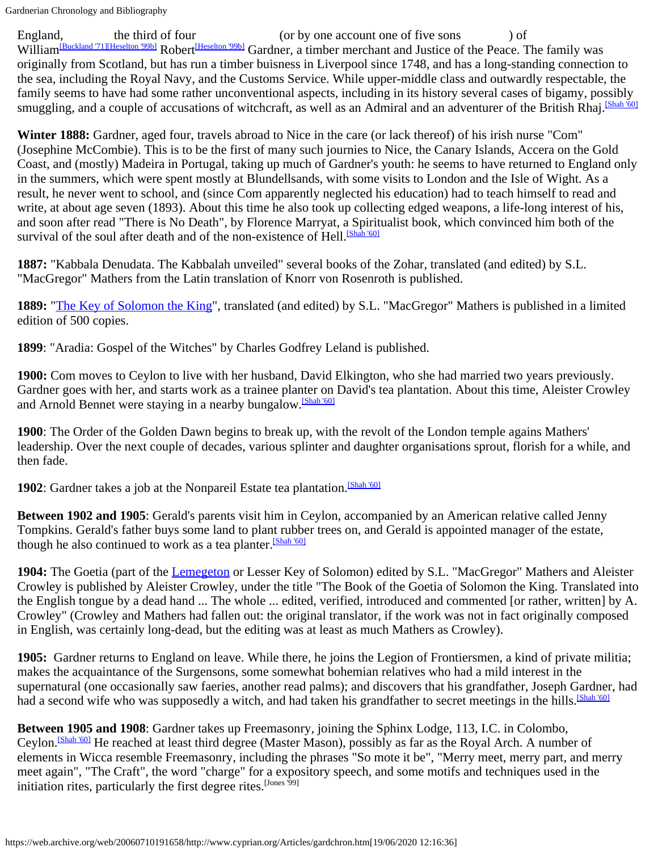Gardnerian Chronology and Bibliography

England, the third of four (or by one account one of five sons ) of William<sup>[Buckland '71[\]\[Heselton '99b\]](#page-12-1)</sub> Robert<sup>[Heselton '99b]</sup> Gardner, a timber merchant and Justice of the Peace. The family was</sup> originally from Scotland, but has run a timber buisness in Liverpool since 1748, and has a long-standing connection to the sea, including the Royal Navy, and the Customs Service. While upper-middle class and outwardly respectable, the family seems to have had some rather unconventional aspects, including in its history several cases of bigamy, possibly smuggling, and a couple of accusations of witchcraft, as well as an Admiral and an adventurer of the British Rhaj.<sup>[Shah '60]</sup>

**Winter 1888:** Gardner, aged four, travels abroad to Nice in the care (or lack thereof) of his irish nurse "Com" (Josephine McCombie). This is to be the first of many such journies to Nice, the Canary Islands, Accera on the Gold Coast, and (mostly) Madeira in Portugal, taking up much of Gardner's youth: he seems to have returned to England only in the summers, which were spent mostly at Blundellsands, with some visits to London and the Isle of Wight. As a result, he never went to school, and (since Com apparently neglected his education) had to teach himself to read and write, at about age seven (1893). About this time he also took up collecting edged weapons, a life-long interest of his, and soon after read "There is No Death", by Florence Marryat, a Spiritualist book, which convinced him both of the survival of the soul after death and of the non-existence of Hell.<sup>[Shah '60]</sup>

**1887:** "Kabbala Denudata. The Kabbalah unveiled" several books of the Zohar, translated (and edited) by S.L. "MacGregor" Mathers from the Latin translation of Knorr von Rosenroth is published.

**1889:** "The Key [of Solomon the King](https://web.archive.org/web/20060710191658/http://w3.one.net/~browe/classics.htm)", translated (and edited) by S.L. "MacGregor" Mathers is published in a limited edition of 500 copies.

**1899**: "Aradia: Gospel of the Witches" by Charles Godfrey Leland is published.

**1900:** Com moves to Ceylon to live with her husband, David Elkington, who she had married two years previously. Gardner goes with her, and starts work as a trainee planter on David's tea plantation. About this time, Aleister Crowley and Arnold Bennet were staying in a nearby bungalow.<sup>[\[Shah](#page-14-2) '60]</sup>

**1900**: The Order of the Golden Dawn begins to break up, with the revolt of the London temple agains Mathers' leadership. Over the next couple of decades, various splinter and daughter organisations sprout, florish for a while, and then fade.

**1902**: Gardner takes a job at the Nonpareil Estate tea plantation.<sup>[\[Shah](#page-14-2) '60]</sup>

**Between 1902 and 1905**: Gerald's parents visit him in Ceylon, accompanied by an American relative called Jenny Tompkins. Gerald's father buys some land to plant rubber trees on, and Gerald is appointed manager of the estate, though he also continued to work as a tea planter.<sup>[\[Shah](#page-14-2) '60]</sup>

**1904:** The Goetia (part of the [Lemegeton](https://web.archive.org/web/20060710191658/http://www.avesta.org/solomon/lemegeton.htm) or Lesser Key of Solomon) edited by S.L. "MacGregor" Mathers and Aleister Crowley is published by Aleister Crowley, under the title "The Book of the Goetia of Solomon the King. Translated into the English tongue by a dead hand ... The whole ... edited, verified, introduced and commented [or rather, written] by A. Crowley" (Crowley and Mathers had fallen out: the original translator, if the work was not in fact originally composed in English, was certainly long-dead, but the editing was at least as much Mathers as Crowley).

**1905:** Gardner returns to England on leave. While there, he joins the Legion of Frontiersmen, a kind of private militia; makes the acquaintance of the Surgensons, some somewhat bohemian relatives who had a mild interest in the supernatural (one occasionally saw faeries, another read palms); and discovers that his grandfather, Joseph Gardner, had had a second wife who was supposedly a witch, and had taken his grandfather to secret meetings in the hills.<sup>[\[Shah](#page-14-2) '60]</sup>

**Between 1905 and 1908**: Gardner takes up Freemasonry, joining the Sphinx Lodge, 113, I.C. in Colombo, Ceylon.<sup>[\[Shah](#page-14-2) '60]</sup> He reached at least third degree (Master Mason), possibly as far as the Royal Arch. A number of elements in Wicca resemble Freemasonry, including the phrases "So mote it be", "Merry meet, merry part, and merry meet again", "The Craft", the word "charge" for a expository speech, and some motifs and techniques used in the initiation rites, particularly the first degree rites.<sup>[Jones '99]</sup>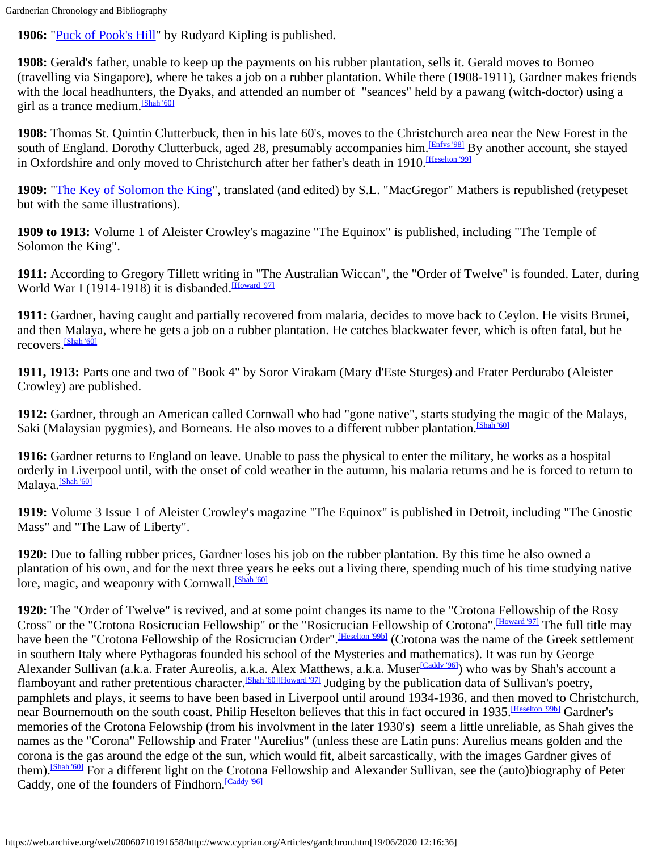**1906:** "Puck [of Pook's Hill](https://web.archive.org/web/20060710191658/ftp://sailor.gutenberg.org/pub/gutenberg/etext96/pkpkh10.txt)" by Rudyard Kipling is published.

**1908:** Gerald's father, unable to keep up the payments on his rubber plantation, sells it. Gerald moves to Borneo (travelling via Singapore), where he takes a job on a rubber plantation. While there (1908-1911), Gardner makes friends with the local headhunters, the Dyaks, and attended an number of "seances" held by a pawang (witch-doctor) using a girl as a trance medium. [\[Shah '60\]](#page-14-2)

**1908:** Thomas St. Quintin Clutterbuck, then in his late 60's, moves to the Christchurch area near the New Forest in the south of England. Dorothy Clutterbuck, aged 28, presumably accompanies him.<sup>[\[Enfys](#page-11-2) '98]</sup> By another account, she stayed in Oxfordshire and only moved to Christchurch after her father's death in 1910. Heselton '991

**1909:** "The Key [of Solomon the King](https://web.archive.org/web/20060710191658/http://w3.one.net/~browe/classics.htm)", translated (and edited) by S.L. "MacGregor" Mathers is republished (retypeset but with the same illustrations).

**1909 to 1913:** Volume 1 of Aleister Crowley's magazine "The Equinox" is published, including "The Temple of Solomon the King".

**1911:** According to Gregory Tillett writing in "The Australian Wiccan", the "Order of Twelve" is founded. Later, during World War I (1914-1918) it is disbanded.<sup>[\[Howard](#page-12-2) '97]</sup>

**1911:** Gardner, having caught and partially recovered from malaria, decides to move back to Ceylon. He visits Brunei, and then Malaya, where he gets a job on a rubber plantation. He catches blackwater fever, which is often fatal, but he recovers.[\[Shah](#page-14-2) '60]

**1911, 1913:** Parts one and two of "Book 4" by Soror Virakam (Mary d'Este Sturges) and Frater Perdurabo (Aleister Crowley) are published.

**1912:** Gardner, through an American called Cornwall who had "gone native", starts studying the magic of the Malays, Saki (Malaysian pygmies), and Borneans. He also moves to a different rubber plantation.<sup>[\[Shah](#page-14-2) '60]</sup>

**1916:** Gardner returns to England on leave. Unable to pass the physical to enter the military, he works as a hospital orderly in Liverpool until, with the onset of cold weather in the autumn, his malaria returns and he is forced to return to Malaya.<sup>[Shah '60]</sup>

**1919:** Volume 3 Issue 1 of Aleister Crowley's magazine "The Equinox" is published in Detroit, including "The Gnostic Mass" and "The Law of Liberty".

**1920:** Due to falling rubber prices, Gardner loses his job on the rubber plantation. By this time he also owned a plantation of his own, and for the next three years he eeks out a living there, spending much of his time studying native lore, magic, and weaponry with Cornwall.<sup>[\[Shah](#page-14-2) '60]</sup>

**1920:** The "Order of Twelve" is revived, and at some point changes its name to the "Crotona Fellowship of the Rosy Cross" or the "Crotona Rosicrucian Fellowship" or the "Rosicrucian Fellowship of Crotona". Howard '971 The full title may have been the "Crotona Fellowship of the Rosicrucian Order". *Heselton '99b]* (Crotona was the name of the Greek settlement in southern Italy where Pythagoras founded his school of the Mysteries and mathematics). It was run by George Alexander Sullivan (a.k.a. Frater Aureolis, a.k.a. Alex Matthews, a.k.a. Muser<sup>[Caddy '96]</sup>) who was by Shah's account a flamboyant and rather pretentious character.<sup>[Shah '60[\]\[Howard '97\]](#page-12-2)</sup> Judging by the publication data of Sullivan's poetry, pamphlets and plays, it seems to have been based in Liverpool until around 1934-1936, and then moved to Christchurch, near Bournemouth on the south coast. Philip Heselton believes that this in fact occured in 1935. Heselton '99b] Gardner's memories of the Crotona Felowship (from his involvment in the later 1930's) seem a little unreliable, as Shah gives the names as the "Corona" Fellowship and Frater "Aurelius" (unless these are Latin puns: Aurelius means golden and the corona is the gas around the edge of the sun, which would fit, albeit sarcastically, with the images Gardner gives of them). **Shah '60]** For a different light on the Crotona Fellowship and Alexander Sullivan, see the (auto)biography of Peter Caddy, one of the founders of Findhorn. [Caddy '96]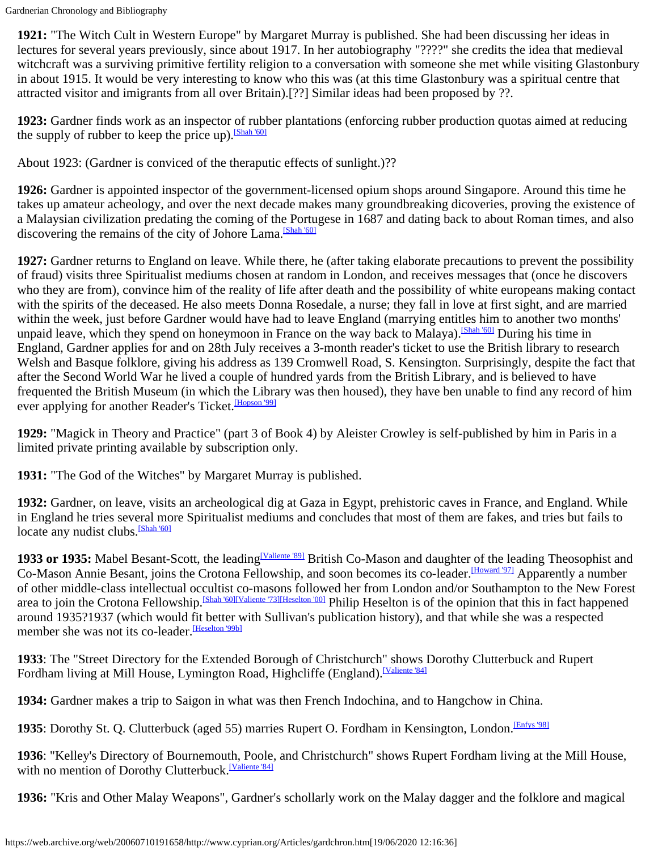**1921:** "The Witch Cult in Western Europe" by Margaret Murray is published. She had been discussing her ideas in lectures for several years previously, since about 1917. In her autobiography "????" she credits the idea that medieval witchcraft was a surviving primitive fertility religion to a conversation with someone she met while visiting Glastonbury in about 1915. It would be very interesting to know who this was (at this time Glastonbury was a spiritual centre that attracted visitor and imigrants from all over Britain).[??] Similar ideas had been proposed by ??.

**1923:** Gardner finds work as an inspector of rubber plantations (enforcing rubber production quotas aimed at reducing the supply of rubber to keep the price up).<sup>[Shah '60]</sup>

About 1923: (Gardner is conviced of the theraputic effects of sunlight.)??

**1926:** Gardner is appointed inspector of the government-licensed opium shops around Singapore. Around this time he takes up amateur acheology, and over the next decade makes many groundbreaking dicoveries, proving the existence of a Malaysian civilization predating the coming of the Portugese in 1687 and dating back to about Roman times, and also discovering the remains of the city of Johore Lama.<sup>[\[Shah](#page-14-2) '60]</sup>

**1927:** Gardner returns to England on leave. While there, he (after taking elaborate precautions to prevent the possibility of fraud) visits three Spiritualist mediums chosen at random in London, and receives messages that (once he discovers who they are from), convince him of the reality of life after death and the possibility of white europeans making contact with the spirits of the deceased. He also meets Donna Rosedale, a nurse; they fall in love at first sight, and are married within the week, just before Gardner would have had to leave England (marrying entitles him to another two months' unpaid leave, which they spend on honeymoon in France on the way back to Malaya).<sup>[Shah '60]</sup> During his time in England, Gardner applies for and on 28th July receives a 3-month reader's ticket to use the British library to research Welsh and Basque folklore, giving his address as 139 Cromwell Road, S. Kensington. Surprisingly, despite the fact that after the Second World War he lived a couple of hundred yards from the British Library, and is believed to have frequented the British Museum (in which the Library was then housed), they have ben unable to find any record of him ever applying for another Reader's Ticket. [Hopson '99]

**1929:** "Magick in Theory and Practice" (part 3 of Book 4) by Aleister Crowley is self-published by him in Paris in a limited private printing available by subscription only.

**1931:** "The God of the Witches" by Margaret Murray is published.

**1932:** Gardner, on leave, visits an archeological dig at Gaza in Egypt, prehistoric caves in France, and England. While in England he tries several more Spiritualist mediums and concludes that most of them are fakes, and tries but fails to locate any nudist clubs.<sup>[\[Shah](#page-14-2) '60]</sup>

1933 or 1935: Mabel Besant-Scott, the leading<sup>[Valiente '89]</sup> British Co-Mason and daughter of the leading Theosophist and Co-Mason Annie Besant, joins the Crotona Fellowship, and soon becomes its co-leader.<sup>[Howard '97]</sup> Apparently a number of other middle-class intellectual occultist co-masons followed her from London and/or Southampton to the New Forest area to join the Crotona Fellowship.<sup>[\[Shah](#page-14-2) '60[\]\[Valiente '73\]](#page-14-3)[\[Heselton](#page-12-4) '00]</sup> Philip Heselton is of the opinion that this in fact happened around 1935?1937 (which would fit better with Sullivan's publication history), and that while she was a respected member she was not its co-leader. Heselton '99bl

**1933**: The "Street Directory for the Extended Borough of Christchurch" shows Dorothy Clutterbuck and Rupert Fordham living at Mill House, Lymington Road, Highcliffe (England).<sup>[Valiente '84]</sup>

**1934:** Gardner makes a trip to Saigon in what was then French Indochina, and to Hangchow in China.

1935: Dorothy St. Q. Clutterbuck (aged 55) marries Rupert O. Fordham in Kensington, London.<sup>[Enfys '98]</sup>

**1936**: "Kelley's Directory of Bournemouth, Poole, and Christchurch" shows Rupert Fordham living at the Mill House, with no mention of Dorothy Clutterbuck.<sup>[Valiente '84]</sup>

**1936:** "Kris and Other Malay Weapons", Gardner's schollarly work on the Malay dagger and the folklore and magical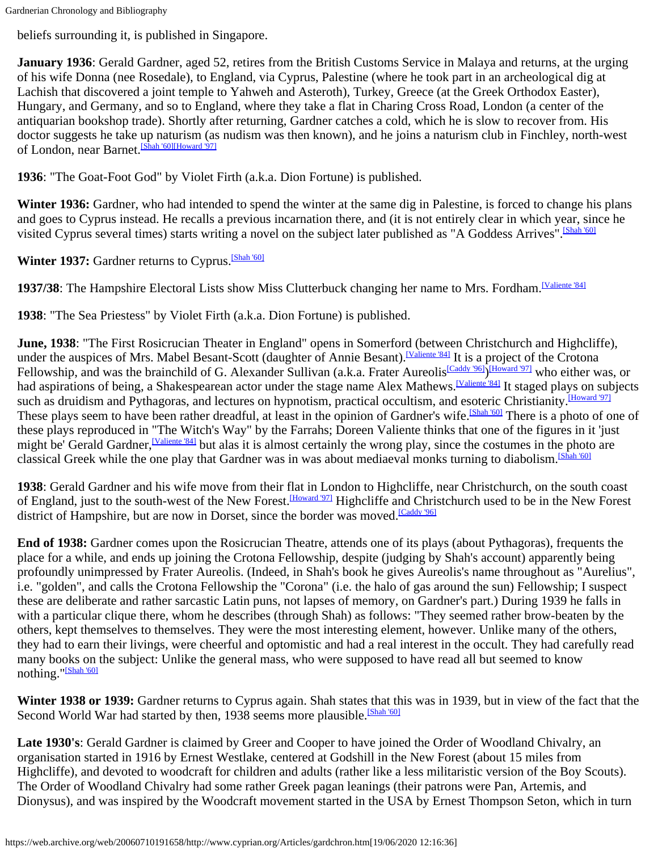beliefs surrounding it, is published in Singapore.

**January 1936**: Gerald Gardner, aged 52, retires from the British Customs Service in Malaya and returns, at the urging of his wife Donna (nee Rosedale), to England, via Cyprus, Palestine (where he took part in an archeological dig at Lachish that discovered a joint temple to Yahweh and Asteroth), Turkey, Greece (at the Greek Orthodox Easter), Hungary, and Germany, and so to England, where they take a flat in Charing Cross Road, London (a center of the antiquarian bookshop trade). Shortly after returning, Gardner catches a cold, which he is slow to recover from. His doctor suggests he take up naturism (as nudism was then known), and he joins a naturism club in Finchley, north-west of London, near Barnet.[\[Shah](#page-14-2) '60][\[Howard '97\]](#page-12-2)

**1936**: "The Goat-Foot God" by Violet Firth (a.k.a. Dion Fortune) is published.

**Winter 1936:** Gardner, who had intended to spend the winter at the same dig in Palestine, is forced to change his plans and goes to Cyprus instead. He recalls a previous incarnation there, and (it is not entirely clear in which year, since he visited Cyprus several times) starts writing a novel on the subject later published as "A Goddess Arrives". [Shah '60]

Winter 1937: Gardner returns to Cyprus.<sup>[Shah '60]</sup>

1937/38: The Hampshire Electoral Lists show Miss Clutterbuck changing her name to Mrs. Fordham.<sup>[Valiente '84]</sup>

**1938**: "The Sea Priestess" by Violet Firth (a.k.a. Dion Fortune) is published.

**June, 1938**: "The First Rosicrucian Theater in England" opens in Somerford (between Christchurch and Highcliffe), under the auspices of Mrs. Mabel Besant-Scott (daughter of Annie Besant).<sup>[\[Valiente](#page-14-0) '84]</sup> It is a project of the Crotona Fellowship, and was the brainchild of G. Alexander Sullivan (a.k.a. Frater Aureolis<sup>[\[Caddy](#page-11-3) '96]</sup>)<sup>[\[Howard](#page-12-2) '97]</sup> who either was, or had aspirations of being, a Shakespearean actor under the stage name Alex Mathews.<sup>[Valiente 84]</sup> It staged plays on subjects such as druidism and Pythagoras, and lectures on hypnotism, practical occultism, and esoteric Christianity.<sup>[Howard '97]</sup> These plays seem to have been rather dreadful, at least in the opinion of Gardner's wife.<sup>[Shah '60]</sup> There is a photo of one of these plays reproduced in "The Witch's Way" by the Farrahs; Doreen Valiente thinks that one of the figures in it 'just might be' Gerald Gardner, <sup>[Valiente '84]</sup> but alas it is almost certainly the wrong play, since the costumes in the photo are classical Greek while the one play that Gardner was in was about mediaeval monks turning to diabolism.<sup>[Shah '60]</sup>

**1938**: Gerald Gardner and his wife move from their flat in London to Highcliffe, near Christchurch, on the south coast of England, just to the south-west of the New Forest. Howard '971 Highcliffe and Christchurch used to be in the New Forest district of Hampshire, but are now in Dorset, since the border was moved.<sup>[\[Caddy](#page-11-3) '96]</sup>

**End of 1938:** Gardner comes upon the Rosicrucian Theatre, attends one of its plays (about Pythagoras), frequents the place for a while, and ends up joining the Crotona Fellowship, despite (judging by Shah's account) apparently being profoundly unimpressed by Frater Aureolis. (Indeed, in Shah's book he gives Aureolis's name throughout as "Aurelius", i.e. "golden", and calls the Crotona Fellowship the "Corona" (i.e. the halo of gas around the sun) Fellowship; I suspect these are deliberate and rather sarcastic Latin puns, not lapses of memory, on Gardner's part.) During 1939 he falls in with a particular clique there, whom he describes (through Shah) as follows: "They seemed rather brow-beaten by the others, kept themselves to themselves. They were the most interesting element, however. Unlike many of the others, they had to earn their livings, were cheerful and optomistic and had a real interest in the occult. They had carefully read many books on the subject: Unlike the general mass, who were supposed to have read all but seemed to know nothing.["\[Shah](#page-14-2) '60]

**Winter 1938 or 1939:** Gardner returns to Cyprus again. Shah states that this was in 1939, but in view of the fact that the Second World War had started by then, 1938 seems more plausible.<sup>[\[Shah](#page-14-2) '60]</sup>

**Late 1930's**: Gerald Gardner is claimed by Greer and Cooper to have joined the Order of Woodland Chivalry, an organisation started in 1916 by Ernest Westlake, centered at Godshill in the New Forest (about 15 miles from Highcliffe), and devoted to woodcraft for children and adults (rather like a less militaristic version of the Boy Scouts). The Order of Woodland Chivalry had some rather Greek pagan leanings (their patrons were Pan, Artemis, and Dionysus), and was inspired by the Woodcraft movement started in the USA by Ernest Thompson Seton, which in turn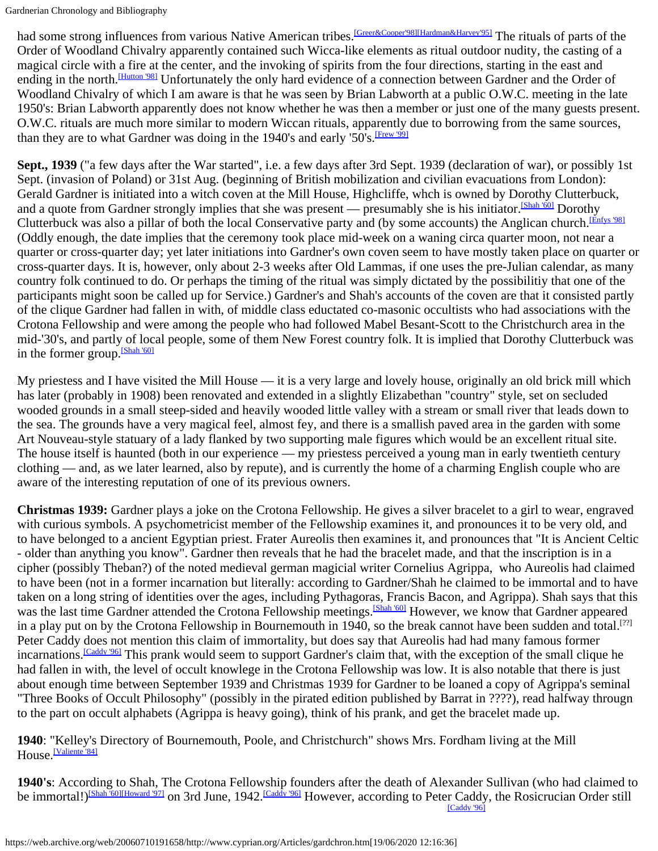had some strong influences from various Native American tribes.<sup>[\[Greer&Cooper'98\]](#page-12-5)[\[Hardman&Harvey'95\]](#page-12-6)</sup> The rituals of parts of the Order of Woodland Chivalry apparently contained such Wicca-like elements as ritual outdoor nudity, the casting of a magical circle with a fire at the center, and the invoking of spirits from the four directions, starting in the east and ending in the north.<sup>[\[Hutton](#page-12-7) '98]</sup> Unfortunately the only hard evidence of a connection between Gardner and the Order of Woodland Chivalry of which I am aware is that he was seen by Brian Labworth at a public O.W.C. meeting in the late 1950's: Brian Labworth apparently does not know whether he was then a member or just one of the many guests present. O.W.C. rituals are much more similar to modern Wiccan rituals, apparently due to borrowing from the same sources, than they are to what Gardner was doing in the 1940's and early '50's. *[Frew '99]* 

**Sept., 1939** ("a few days after the War started", i.e. a few days after 3rd Sept. 1939 (declaration of war), or possibly 1st Sept. (invasion of Poland) or 31st Aug. (beginning of British mobilization and civilian evacuations from London): Gerald Gardner is initiated into a witch coven at the Mill House, Highcliffe, whch is owned by Dorothy Clutterbuck, and a quote from Gardner strongly implies that she was present — presumably she is his initiator.<sup>[\[Shah](#page-14-2) '60]</sup> Dorothy Clutterbuck was also a pillar of both the local Conservative party and (by some accounts) the Anglican church.<sup>[\[Enfys](#page-11-2) '98]</sup> (Oddly enough, the date implies that the ceremony took place mid-week on a waning circa quarter moon, not near a quarter or cross-quarter day; yet later initiations into Gardner's own coven seem to have mostly taken place on quarter or cross-quarter days. It is, however, only about 2-3 weeks after Old Lammas, if one uses the pre-Julian calendar, as many country folk continued to do. Or perhaps the timing of the ritual was simply dictated by the possibilitiy that one of the participants might soon be called up for Service.) Gardner's and Shah's accounts of the coven are that it consisted partly of the clique Gardner had fallen in with, of middle class eductated co-masonic occultists who had associations with the Crotona Fellowship and were among the people who had followed Mabel Besant-Scott to the Christchurch area in the mid-'30's, and partly of local people, some of them New Forest country folk. It is implied that Dorothy Clutterbuck was in the former group.<sup>[Shah '60]</sup>

My priestess and I have visited the Mill House — it is a very large and lovely house, originally an old brick mill which has later (probably in 1908) been renovated and extended in a slightly Elizabethan "country" style, set on secluded wooded grounds in a small steep-sided and heavily wooded little valley with a stream or small river that leads down to the sea. The grounds have a very magical feel, almost fey, and there is a smallish paved area in the garden with some Art Nouveau-style statuary of a lady flanked by two supporting male figures which would be an excellent ritual site. The house itself is haunted (both in our experience — my priestess perceived a young man in early twentieth century clothing — and, as we later learned, also by repute), and is currently the home of a charming English couple who are aware of the interesting reputation of one of its previous owners.

**Christmas 1939:** Gardner plays a joke on the Crotona Fellowship. He gives a silver bracelet to a girl to wear, engraved with curious symbols. A psychometricist member of the Fellowship examines it, and pronounces it to be very old, and to have belonged to a ancient Egyptian priest. Frater Aureolis then examines it, and pronounces that "It is Ancient Celtic - older than anything you know". Gardner then reveals that he had the bracelet made, and that the inscription is in a cipher (possibly Theban?) of the noted medieval german magicial writer Cornelius Agrippa, who Aureolis had claimed to have been (not in a former incarnation but literally: according to Gardner/Shah he claimed to be immortal and to have taken on a long string of identities over the ages, including Pythagoras, Francis Bacon, and Agrippa). Shah says that this was the last time Gardner attended the Crotona Fellowship meetings.<sup>[Shah '60]</sup> However, we know that Gardner appeared in a play put on by the Crotona Fellowship in Bournemouth in 1940, so the break cannot have been sudden and total.<sup>[??]</sup> Peter Caddy does not mention this claim of immortality, but does say that Aureolis had had many famous former incarnations.<sup>[\[Caddy](#page-11-3) '96]</sup> This prank would seem to support Gardner's claim that, with the exception of the small clique he had fallen in with, the level of occult knowlege in the Crotona Fellowship was low. It is also notable that there is just about enough time between September 1939 and Christmas 1939 for Gardner to be loaned a copy of Agrippa's seminal "Three Books of Occult Philosophy" (possibly in the pirated edition published by Barrat in ????), read halfway througn to the part on occult alphabets (Agrippa is heavy going), think of his prank, and get the bracelet made up.

#### **1940**: "Kelley's Directory of Bournemouth, Poole, and Christchurch" shows Mrs. Fordham living at the Mill House.<sup>[Valiente '84]</sup>

**1940's**: According to Shah, The Crotona Fellowship founders after the death of Alexander Sullivan (who had claimed to be immortal!)<sup>[Shah '60[\]\[Howard '97\]](#page-12-2)</sup> on 3rd June, 1942.<sup>[\[Caddy](#page-11-3) '96]</sup> However, according to Peter Caddy, the Rosicrucian Order still [\[Caddy](#page-11-3) '96]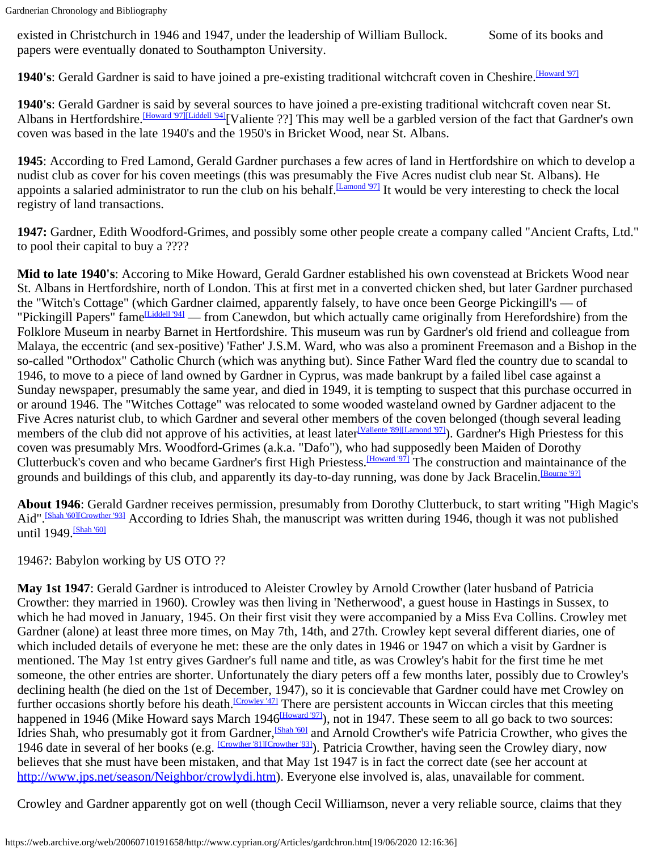existed in Christchurch in 1946 and 1947, under the leadership of William Bullock. Some of its books and papers were eventually donated to Southampton University.

1940's: Gerald Gardner is said to have joined a pre-existing traditional witchcraft coven in Cheshire.<sup>[Howard '97]</sup>

**1940's**: Gerald Gardner is said by several sources to have joined a pre-existing traditional witchcraft coven near St. Albans in Hertfordshire.<sup>[Howard '97][\[Liddell '94\]](#page-0-0)</sup>[Valiente ??] This may well be a garbled version of the fact that Gardner's own coven was based in the late 1940's and the 1950's in Bricket Wood, near St. Albans.

**1945**: According to Fred Lamond, Gerald Gardner purchases a few acres of land in Hertfordshire on which to develop a nudist club as cover for his coven meetings (this was presumably the Five Acres nudist club near St. Albans). He appoints a salaried administrator to run the club on his behalf.<sup>[Lamond '97]</sup> It would be very interesting to check the local registry of land transactions.

**1947:** Gardner, Edith Woodford-Grimes, and possibly some other people create a company called "Ancient Crafts, Ltd." to pool their capital to buy a ????

**Mid to late 1940's**: Accoring to Mike Howard, Gerald Gardner established his own covenstead at Brickets Wood near St. Albans in Hertfordshire, north of London. This at first met in a converted chicken shed, but later Gardner purchased the "Witch's Cottage" (which Gardner claimed, apparently falsely, to have once been George Pickingill's — of "Pickingill Papers" fame Liddell '941 — from Canewdon, but which actually came originally from Herefordshire) from the Folklore Museum in nearby Barnet in Hertfordshire. This museum was run by Gardner's old friend and colleague from Malaya, the eccentric (and sex-positive) 'Father' J.S.M. Ward, who was also a prominent Freemason and a Bishop in the so-called "Orthodox" Catholic Church (which was anything but). Since Father Ward fled the country due to scandal to 1946, to move to a piece of land owned by Gardner in Cyprus, was made bankrupt by a failed libel case against a Sunday newspaper, presumably the same year, and died in 1949, it is tempting to suspect that this purchase occurred in or around 1946. The "Witches Cottage" was relocated to some wooded wasteland owned by Gardner adjacent to the Five Acres naturist club, to which Gardner and several other members of the coven belonged (though several leading members of the club did not approve of his activities, at least later<sup>[\[Valiente](#page-14-1) '89][Lamond '97]</sup>). Gardner's High Priestess for this coven was presumably Mrs. Woodford-Grimes (a.k.a. "Dafo"), who had supposedly been Maiden of Dorothy Clutterbuck's coven and who became Gardner's first High Priestess. Howard '971 The construction and maintainance of the grounds and buildings of this club, and apparently its day-to-day running, was done by Jack Bracelin.<sup>[Bourne '9?]</sup>

**About 1946**: Gerald Gardner receives permission, presumably from Dorothy Clutterbuck, to start writing "High Magic's Aid".<sup>[\[Shah](#page-14-2) '60[\]\[Crowther '93\]](#page-11-5)</sup> According to Idries Shah, the manuscript was written during 1946, though it was not published until 1949. [Shah '60]

1946?: Babylon working by US OTO ??

**May 1st 1947**: Gerald Gardner is introduced to Aleister Crowley by Arnold Crowther (later husband of Patricia Crowther: they married in 1960). Crowley was then living in 'Netherwood', a guest house in Hastings in Sussex, to which he had moved in January, 1945. On their first visit they were accompanied by a Miss Eva Collins. Crowley met Gardner (alone) at least three more times, on May 7th, 14th, and 27th. Crowley kept several different diaries, one of which included details of everyone he met: these are the only dates in 1946 or 1947 on which a visit by Gardner is mentioned. The May 1st entry gives Gardner's full name and title, as was Crowley's habit for the first time he met someone, the other entries are shorter. Unfortunately the diary peters off a few months later, possibly due to Crowley's declining health (he died on the 1st of December, 1947), so it is concievable that Gardner could have met Crowley on further occasions shortly before his death.<sup>[Crowley '47]</sup> There are persistent accounts in Wiccan circles that this meeting happened in 1946 (Mike Howard says March 1946<sup>[Howard '97]</sup>), not in 1947. These seem to all go back to two sources: Idries Shah, who presumably got it from Gardner,<sup>[Shah '60]</sup> and Arnold Crowther's wife Patricia Crowther, who gives the 1946 date in several of her books (e.g. [\[Crowther](#page-11-7) '81[\]\[Crowther '93\]](#page-11-5)). Patricia Crowther, having seen the Crowley diary, now believes that she must have been mistaken, and that May 1st 1947 is in fact the correct date (see her account at [http://www.jps.net/season/Neighbor/crowlydi.htm\)](https://web.archive.org/web/20060710191658/http://www.jps.net/season/Neighbor/crowlydi.htm). Everyone else involved is, alas, unavailable for comment.

Crowley and Gardner apparently got on well (though Cecil Williamson, never a very reliable source, claims that they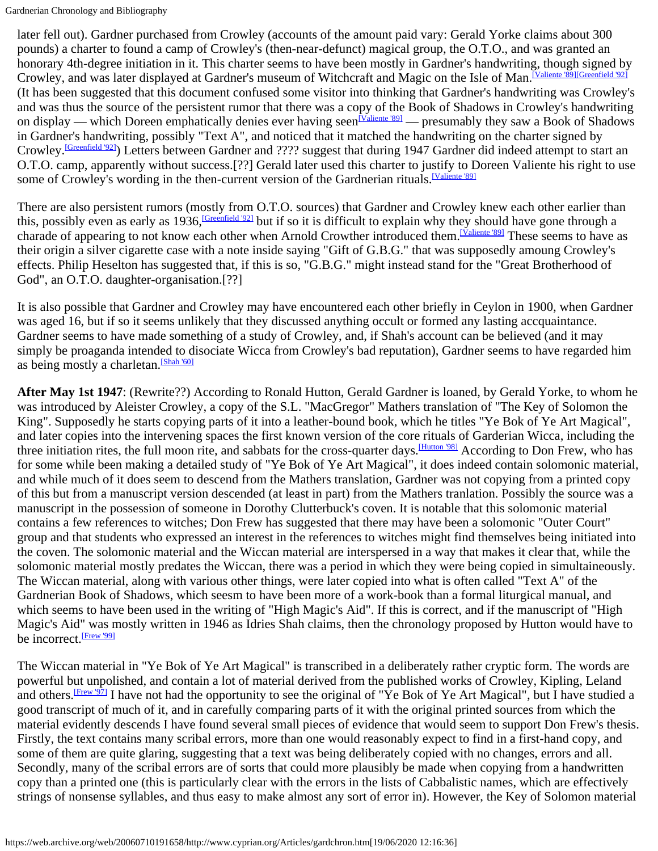later fell out). Gardner purchased from Crowley (accounts of the amount paid vary: Gerald Yorke claims about 300 pounds) a charter to found a camp of Crowley's (then-near-defunct) magical group, the O.T.O., and was granted an honorary 4th-degree initiation in it. This charter seems to have been mostly in Gardner's handwriting, though signed by Crowley, and was later displayed at Gardner's museum of Witchcraft and Magic on the Isle of Man.<sup>[Valiente '89[\]\[Greenfield '92\]](#page-11-8)</sup> (It has been suggested that this document confused some visitor into thinking that Gardner's handwriting was Crowley's and was thus the source of the persistent rumor that there was a copy of the Book of Shadows in Crowley's handwriting on display — which Doreen emphatically denies ever having seen<sup>[Valiente '89]</sup> — presumably they saw a Book of Shadows in Gardner's handwriting, possibly "Text A", and noticed that it matched the handwriting on the charter signed by Crowley.<sup>[Greenfield '92]</sup>) Letters between Gardner and ???? suggest that during 1947 Gardner did indeed attempt to start an O.T.O. camp, apparently without success.[??] Gerald later used this charter to justify to Doreen Valiente his right to use some of Crowley's wording in the then-current version of the Gardnerian rituals.<sup>[Valiente '89]</sup>

There are also persistent rumors (mostly from O.T.O. sources) that Gardner and Crowley knew each other earlier than this, possibly even as early as  $1936$ , *Greenfield*  $921$  but if so it is difficult to explain why they should have gone through a charade of appearing to not know each other when Arnold Crowther introduced them.<sup>[Valiente '89]</sup> These seems to have as their origin a silver cigarette case with a note inside saying "Gift of G.B.G." that was supposedly amoung Crowley's effects. Philip Heselton has suggested that, if this is so, "G.B.G." might instead stand for the "Great Brotherhood of God", an O.T.O. daughter-organisation.[??]

It is also possible that Gardner and Crowley may have encountered each other briefly in Ceylon in 1900, when Gardner was aged 16, but if so it seems unlikely that they discussed anything occult or formed any lasting accquaintance. Gardner seems to have made something of a study of Crowley, and, if Shah's account can be believed (and it may simply be proaganda intended to disociate Wicca from Crowley's bad reputation), Gardner seems to have regarded him as being mostly a charletan.<sup>[\[Shah](#page-14-2) '60]</sup>

**After May 1st 1947**: (Rewrite??) According to Ronald Hutton, Gerald Gardner is loaned, by Gerald Yorke, to whom he was introduced by Aleister Crowley, a copy of the S.L. "MacGregor" Mathers translation of "The Key of Solomon the King". Supposedly he starts copying parts of it into a leather-bound book, which he titles "Ye Bok of Ye Art Magical", and later copies into the intervening spaces the first known version of the core rituals of Garderian Wicca, including the three initiation rites, the full moon rite, and sabbats for the cross-quarter days.<sup>[\[Hutton](#page-12-7) '98]</sup> According to Don Frew, who has for some while been making a detailed study of "Ye Bok of Ye Art Magical", it does indeed contain solomonic material, and while much of it does seem to descend from the Mathers translation, Gardner was not copying from a printed copy of this but from a manuscript version descended (at least in part) from the Mathers tranlation. Possibly the source was a manuscript in the possession of someone in Dorothy Clutterbuck's coven. It is notable that this solomonic material contains a few references to witches; Don Frew has suggested that there may have been a solomonic "Outer Court" group and that students who expressed an interest in the references to witches might find themselves being initiated into the coven. The solomonic material and the Wiccan material are interspersed in a way that makes it clear that, while the solomonic material mostly predates the Wiccan, there was a period in which they were being copied in simultaineously. The Wiccan material, along with various other things, were later copied into what is often called "Text A" of the Gardnerian Book of Shadows, which seesm to have been more of a work-book than a formal liturgical manual, and which seems to have been used in the writing of "High Magic's Aid". If this is correct, and if the manuscript of "High Magic's Aid" was mostly written in 1946 as Idries Shah claims, then the chronology proposed by Hutton would have to be incorrect.<sup>[Frew '99]</sup>

The Wiccan material in "Ye Bok of Ye Art Magical" is transcribed in a deliberately rather cryptic form. The words are powerful but unpolished, and contain a lot of material derived from the published works of Crowley, Kipling, Leland and others.<sup>[\[Frew](#page-11-0) '97]</sup> I have not had the opportunity to see the original of "Ye Bok of Ye Art Magical", but I have studied a good transcript of much of it, and in carefully comparing parts of it with the original printed sources from which the material evidently descends I have found several small pieces of evidence that would seem to support Don Frew's thesis. Firstly, the text contains many scribal errors, more than one would reasonably expect to find in a first-hand copy, and some of them are quite glaring, suggesting that a text was being deliberately copied with no changes, errors and all. Secondly, many of the scribal errors are of sorts that could more plausibly be made when copying from a handwritten copy than a printed one (this is particularly clear with the errors in the lists of Cabbalistic names, which are effectively strings of nonsense syllables, and thus easy to make almost any sort of error in). However, the Key of Solomon material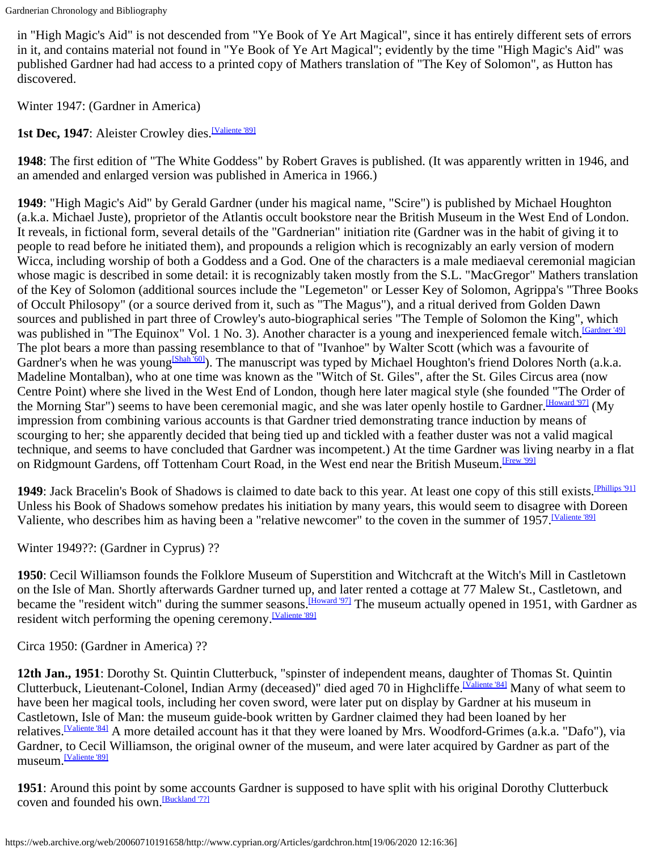in "High Magic's Aid" is not descended from "Ye Book of Ye Art Magical", since it has entirely different sets of errors in it, and contains material not found in "Ye Book of Ye Art Magical"; evidently by the time "High Magic's Aid" was published Gardner had had access to a printed copy of Mathers translation of "The Key of Solomon", as Hutton has discovered.

Winter 1947: (Gardner in America)

1st Dec, 1947: Aleister Crowley dies.<sup>[\[Valiente](#page-14-1) '89]</sup>

**1948**: The first edition of "The White Goddess" by Robert Graves is published. (It was apparently written in 1946, and an amended and enlarged version was published in America in 1966.)

**1949**: "High Magic's Aid" by Gerald Gardner (under his magical name, "Scire") is published by Michael Houghton (a.k.a. Michael Juste), proprietor of the Atlantis occult bookstore near the British Museum in the West End of London. It reveals, in fictional form, several details of the "Gardnerian" initiation rite (Gardner was in the habit of giving it to people to read before he initiated them), and propounds a religion which is recognizably an early version of modern Wicca, including worship of both a Goddess and a God. One of the characters is a male mediaeval ceremonial magician whose magic is described in some detail: it is recognizably taken mostly from the S.L. "MacGregor" Mathers translation of the Key of Solomon (additional sources include the "Legemeton" or Lesser Key of Solomon, Agrippa's "Three Books of Occult Philosopy" (or a source derived from it, such as "The Magus"), and a ritual derived from Golden Dawn sources and published in part three of Crowley's auto-biographical series "The Temple of Solomon the King", which was published in "The Equinox" Vol. 1 No. 3). Another character is a young and inexperienced female witch.<sup>[Gardner '49]</sup> The plot bears a more than passing resemblance to that of "Ivanhoe" by Walter Scott (which was a favourite of Gardner's when he was young<sup>[Shah '60]</sup>). The manuscript was typed by Michael Houghton's friend Dolores North (a.k.a. Madeline Montalban), who at one time was known as the "Witch of St. Giles", after the St. Giles Circus area (now Centre Point) where she lived in the West End of London, though here later magical style (she founded "The Order of the Morning Star") seems to have been ceremonial magic, and she was later openly hostile to Gardner.<sup>[Howard '97]</sup> (My impression from combining various accounts is that Gardner tried demonstrating trance induction by means of scourging to her; she apparently decided that being tied up and tickled with a feather duster was not a valid magical technique, and seems to have concluded that Gardner was incompetent.) At the time Gardner was living nearby in a flat on Ridgmount Gardens, off Tottenham Court Road, in the West end near the British Museum.<sup>[\[Frew '99\]](#page-11-4)</sup>

**1949**: Jack Bracelin's Book of Shadows is claimed to date back to this year. At least one copy of this still exists.<sup>[Phillips '91]</sup> Unless his Book of Shadows somehow predates his initiation by many years, this would seem to disagree with Doreen Valiente, who describes him as having been a "relative newcomer" to the coven in the summer of 1957. [Valiente '89]

Winter 1949??: (Gardner in Cyprus) ??

**1950**: Cecil Williamson founds the Folklore Museum of Superstition and Witchcraft at the Witch's Mill in Castletown on the Isle of Man. Shortly afterwards Gardner turned up, and later rented a cottage at 77 Malew St., Castletown, and became the "resident witch" during the summer seasons.<sup>[Howard '97]</sup> The museum actually opened in 1951, with Gardner as resident witch performing the opening ceremony.<sup>[Valiente '89]</sup>

Circa 1950: (Gardner in America) ??

**12th Jan., 1951**: Dorothy St. Quintin Clutterbuck, "spinster of independent means, daughter of Thomas St. Quintin Clutterbuck, Lieutenant-Colonel, Indian Army (deceased)" died aged 70 in Highcliffe.[\[Valiente](#page-14-0) '84] Many of what seem to have been her magical tools, including her coven sword, were later put on display by Gardner at his museum in Castletown, Isle of Man: the museum guide-book written by Gardner claimed they had been loaned by her relatives.<sup>[\[Valiente](#page-14-0) '84]</sup> A more detailed account has it that they were loaned by Mrs. Woodford-Grimes (a.k.a. "Dafo"), via Gardner, to Cecil Williamson, the original owner of the museum, and were later acquired by Gardner as part of the museum.[\[Valiente](#page-14-1) '89]

**1951**: Around this point by some accounts Gardner is supposed to have split with his original Dorothy Clutterbuck coven and founded his own.<sup>[Buckland '7?]</sup>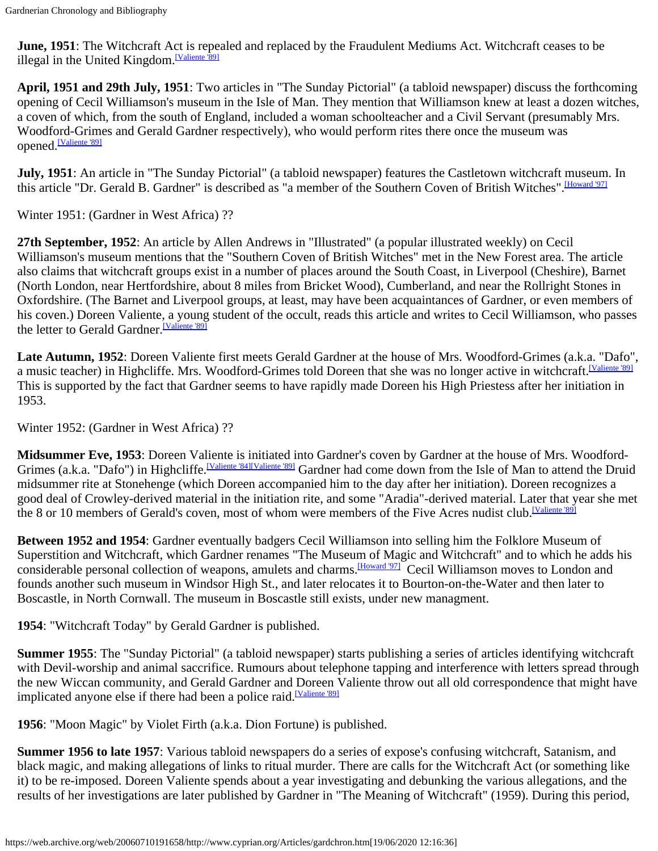**June, 1951**: The Witchcraft Act is repealed and replaced by the Fraudulent Mediums Act. Witchcraft ceases to be illegal in the United Kingdom.<sup>[Valiente '89]</sup>

**April, 1951 and 29th July, 1951**: Two articles in "The Sunday Pictorial" (a tabloid newspaper) discuss the forthcoming opening of Cecil Williamson's museum in the Isle of Man. They mention that Williamson knew at least a dozen witches, a coven of which, from the south of England, included a woman schoolteacher and a Civil Servant (presumably Mrs. Woodford-Grimes and Gerald Gardner respectively), who would perform rites there once the museum was opened.<sup>[\[Valiente](#page-14-1) '89]</sup>

**July, 1951**: An article in "The Sunday Pictorial" (a tabloid newspaper) features the Castletown witchcraft museum. In this article "Dr. Gerald B. Gardner" is described as "a member of the Southern Coven of British Witches". [Howard '97]

Winter 1951: (Gardner in West Africa) ??

**27th September, 1952**: An article by Allen Andrews in "Illustrated" (a popular illustrated weekly) on Cecil Williamson's museum mentions that the "Southern Coven of British Witches" met in the New Forest area. The article also claims that witchcraft groups exist in a number of places around the South Coast, in Liverpool (Cheshire), Barnet (North London, near Hertfordshire, about 8 miles from Bricket Wood), Cumberland, and near the Rollright Stones in Oxfordshire. (The Barnet and Liverpool groups, at least, may have been acquaintances of Gardner, or even members of his coven.) Doreen Valiente, a young student of the occult, reads this article and writes to Cecil Williamson, who passes the letter to Gerald Gardner.<sup>[Valiente '89]</sup>

**Late Autumn, 1952**: Doreen Valiente first meets Gerald Gardner at the house of Mrs. Woodford-Grimes (a.k.a. "Dafo", a music teacher) in Highcliffe. Mrs. Woodford-Grimes told Doreen that she was no longer active in witchcraft.<sup>[Valiente '89]</sup> This is supported by the fact that Gardner seems to have rapidly made Doreen his High Priestess after her initiation in 1953.

Winter 1952: (Gardner in West Africa) ??

**Midsummer Eve, 1953**: Doreen Valiente is initiated into Gardner's coven by Gardner at the house of Mrs. Woodford-Grimes (a.k.a. "Dafo") in Highcliffe.<sup>[Valiente '84][\[Valiente '89\]](#page-14-1)</sup> Gardner had come down from the Isle of Man to attend the Druid midsummer rite at Stonehenge (which Doreen accompanied him to the day after her initiation). Doreen recognizes a good deal of Crowley-derived material in the initiation rite, and some "Aradia"-derived material. Later that year she met the 8 or 10 members of Gerald's coven, most of whom were members of the Five Acres nudist club. [Valiente '89]

**Between 1952 and 1954**: Gardner eventually badgers Cecil Williamson into selling him the Folklore Museum of Superstition and Witchcraft, which Gardner renames "The Museum of Magic and Witchcraft" and to which he adds his considerable personal collection of weapons, amulets and charms.<sup>[\[Howard](#page-12-2) '97]</sup> Cecil Williamson moves to London and founds another such museum in Windsor High St., and later relocates it to Bourton-on-the-Water and then later to Boscastle, in North Cornwall. The museum in Boscastle still exists, under new managment.

**1954**: "Witchcraft Today" by Gerald Gardner is published.

**Summer 1955**: The "Sunday Pictorial" (a tabloid newspaper) starts publishing a series of articles identifying witchcraft with Devil-worship and animal saccrifice. Rumours about telephone tapping and interference with letters spread through the new Wiccan community, and Gerald Gardner and Doreen Valiente throw out all old correspondence that might have implicated anyone else if there had been a police raid.<sup>[Valiente '89]</sup>

**1956**: "Moon Magic" by Violet Firth (a.k.a. Dion Fortune) is published.

**Summer 1956 to late 1957**: Various tabloid newspapers do a series of expose's confusing witchcraft, Satanism, and black magic, and making allegations of links to ritual murder. There are calls for the Witchcraft Act (or something like it) to be re-imposed. Doreen Valiente spends about a year investigating and debunking the various allegations, and the results of her investigations are later published by Gardner in "The Meaning of Witchcraft" (1959). During this period,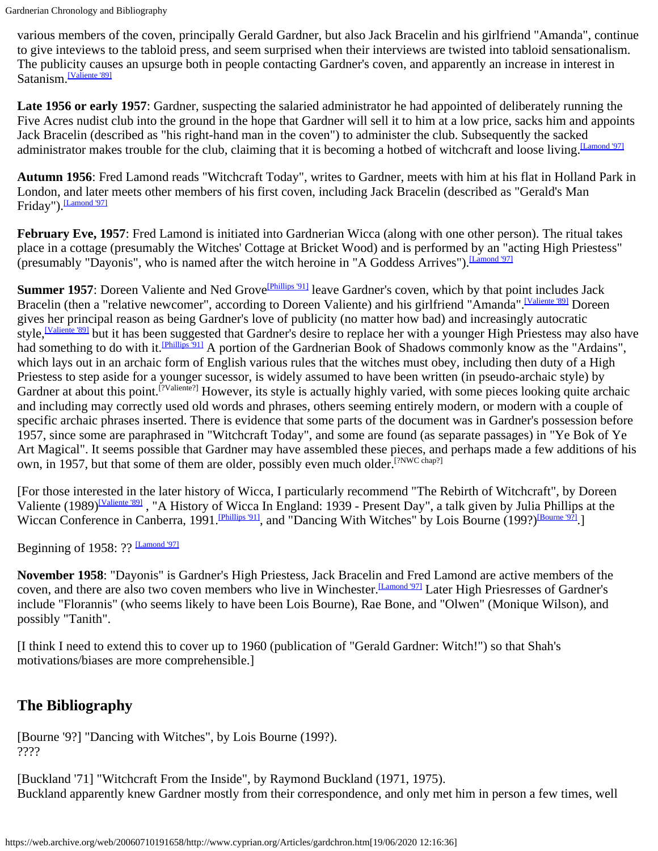various members of the coven, principally Gerald Gardner, but also Jack Bracelin and his girlfriend "Amanda", continue to give inteviews to the tabloid press, and seem surprised when their interviews are twisted into tabloid sensationalism. The publicity causes an upsurge both in people contacting Gardner's coven, and apparently an increase in interest in Satanism.<sup>[Valiente '89]</sup>

**Late 1956 or early 1957**: Gardner, suspecting the salaried administrator he had appointed of deliberately running the Five Acres nudist club into the ground in the hope that Gardner will sell it to him at a low price, sacks him and appoints Jack Bracelin (described as "his right-hand man in the coven") to administer the club. Subsequently the sacked administrator makes trouble for the club, claiming that it is becoming a hotbed of witchcraft and loose living.<sup>[Lamond '97]</sup>

**Autumn 1956**: Fred Lamond reads "Witchcraft Today", writes to Gardner, meets with him at his flat in Holland Park in London, and later meets other members of his first coven, including Jack Bracelin (described as "Gerald's Man Friday"). Lamond '971

**February Eve, 1957**: Fred Lamond is initiated into Gardnerian Wicca (along with one other person). The ritual takes place in a cottage (presumably the Witches' Cottage at Bricket Wood) and is performed by an "acting High Priestess" (presumably "Dayonis", who is named after the witch heroine in "A Goddess Arrives"). [\[Lamond](#page-13-0) '97]

**Summer 1957**: Doreen Valiente and Ned Grove<sup>[\[Phillips](#page-14-4) '91]</sup> leave Gardner's coven, which by that point includes Jack Bracelin (then a "relative newcomer", according to Doreen Valiente) and his girlfriend "Amanda".<sup>[Valiente 891</sup> Doreen gives her principal reason as being Gardner's love of publicity (no matter how bad) and increasingly autocratic style,<sup>[\[Valiente](#page-14-1) '89]</sup> but it has been suggested that Gardner's desire to replace her with a younger High Priestess may also have had something to do with it.<sup>[Phillips '91]</sup> A portion of the Gardnerian Book of Shadows commonly know as the "Ardains", which lays out in an archaic form of English various rules that the witches must obey, including then duty of a High Priestess to step aside for a younger sucessor, is widely assumed to have been written (in pseudo-archaic style) by Gardner at about this point.<sup>[?Valiente?]</sup> However, its style is actually highly varied, with some pieces looking quite archaic and including may correctly used old words and phrases, others seeming entirely modern, or modern with a couple of specific archaic phrases inserted. There is evidence that some parts of the document was in Gardner's possession before 1957, since some are paraphrased in "Witchcraft Today", and some are found (as separate passages) in "Ye Bok of Ye Art Magical". It seems possible that Gardner may have assembled these pieces, and perhaps made a few additions of his own, in 1957, but that some of them are older, possibly even much older.<sup>[?NWC chap?]</sup>

[For those interested in the later history of Wicca, I particularly recommend "The Rebirth of Witchcraft", by Doreen Valiente (1989)<sup>[Valiente '89]</sup>, "A History of Wicca In England: 1939 - Present Day", a talk given by Julia Phillips at the Wiccan Conference in Canberra, 1991.<sup>[Phillips '91]</sup>, and "Dancing With Witches" by Lois Bourne (199?)<sup>[\[Bourne '9?\]](#page-10-0)</sup>.]

Beginning of 1958: ?? Lamond '971

**November 1958**: "Dayonis" is Gardner's High Priestess, Jack Bracelin and Fred Lamond are active members of the coven, and there are also two coven members who live in Winchester.<sup>[Lamond '97]</sup> Later High Priesresses of Gardner's include "Florannis" (who seems likely to have been Lois Bourne), Rae Bone, and "Olwen" (Monique Wilson), and possibly "Tanith".

[I think I need to extend this to cover up to 1960 (publication of "Gerald Gardner: Witch!") so that Shah's motivations/biases are more comprehensible.]

### **The Bibliography**

<span id="page-10-0"></span>[Bourne '9?] "Dancing with Witches", by Lois Bourne (199?). ????

[Buckland '71] "Witchcraft From the Inside", by Raymond Buckland (1971, 1975). Buckland apparently knew Gardner mostly from their correspondence, and only met him in person a few times, well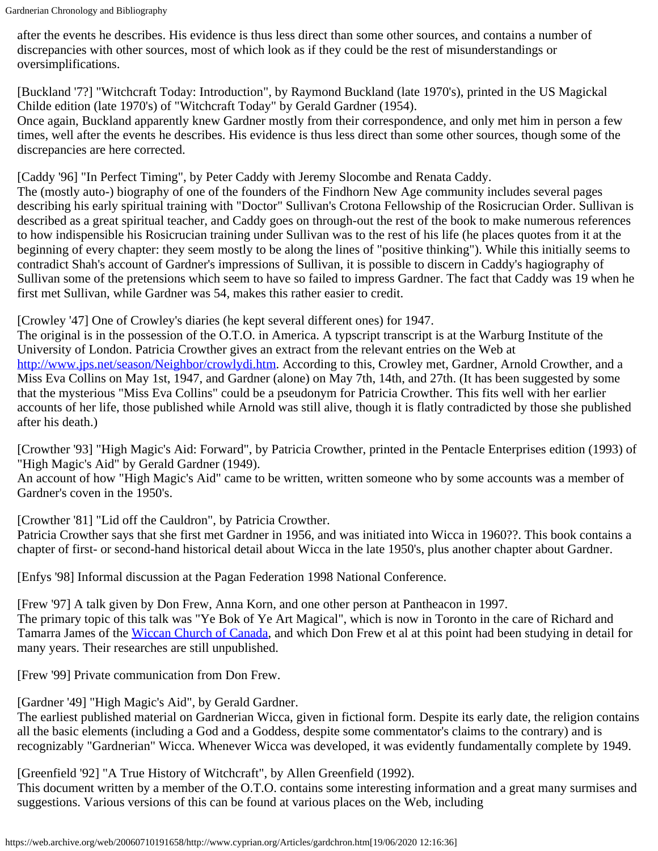after the events he describes. His evidence is thus less direct than some other sources, and contains a number of discrepancies with other sources, most of which look as if they could be the rest of misunderstandings or oversimplifications.

<span id="page-11-1"></span>[Buckland '7?] "Witchcraft Today: Introduction", by Raymond Buckland (late 1970's), printed in the US Magickal Childe edition (late 1970's) of "Witchcraft Today" by Gerald Gardner (1954).

Once again, Buckland apparently knew Gardner mostly from their correspondence, and only met him in person a few times, well after the events he describes. His evidence is thus less direct than some other sources, though some of the discrepancies are here corrected.

<span id="page-11-3"></span>[Caddy '96] "In Perfect Timing", by Peter Caddy with Jeremy Slocombe and Renata Caddy.

The (mostly auto-) biography of one of the founders of the Findhorn New Age community includes several pages describing his early spiritual training with "Doctor" Sullivan's Crotona Fellowship of the Rosicrucian Order. Sullivan is described as a great spiritual teacher, and Caddy goes on through-out the rest of the book to make numerous references to how indispensible his Rosicrucian training under Sullivan was to the rest of his life (he places quotes from it at the beginning of every chapter: they seem mostly to be along the lines of "positive thinking"). While this initially seems to contradict Shah's account of Gardner's impressions of Sullivan, it is possible to discern in Caddy's hagiography of Sullivan some of the pretensions which seem to have so failed to impress Gardner. The fact that Caddy was 19 when he first met Sullivan, while Gardner was 54, makes this rather easier to credit.

<span id="page-11-6"></span>[Crowley '47] One of Crowley's diaries (he kept several different ones) for 1947.

The original is in the possession of the O.T.O. in America. A typscript transcript is at the Warburg Institute of the University of London. Patricia Crowther gives an extract from the relevant entries on the Web at [http://www.jps.net/season/Neighbor/crowlydi.htm.](https://web.archive.org/web/20060710191658/http://www.jps.net/season/Neighbor/crowlydi.htm) According to this, Crowley met, Gardner, Arnold Crowther, and a Miss Eva Collins on May 1st, 1947, and Gardner (alone) on May 7th, 14th, and 27th. (It has been suggested by some that the mysterious "Miss Eva Collins" could be a pseudonym for Patricia Crowther. This fits well with her earlier accounts of her life, those published while Arnold was still alive, though it is flatly contradicted by those she published after his death.)

<span id="page-11-5"></span>[Crowther '93] "High Magic's Aid: Forward", by Patricia Crowther, printed in the Pentacle Enterprises edition (1993) of "High Magic's Aid" by Gerald Gardner (1949).

An account of how "High Magic's Aid" came to be written, written someone who by some accounts was a member of Gardner's coven in the 1950's.

<span id="page-11-7"></span>[Crowther '81] "Lid off the Cauldron", by Patricia Crowther.

Patricia Crowther says that she first met Gardner in 1956, and was initiated into Wicca in 1960??. This book contains a chapter of first- or second-hand historical detail about Wicca in the late 1950's, plus another chapter about Gardner.

<span id="page-11-2"></span>[Enfys '98] Informal discussion at the Pagan Federation 1998 National Conference.

<span id="page-11-0"></span>[Frew '97] A talk given by Don Frew, Anna Korn, and one other person at Pantheacon in 1997. The primary topic of this talk was "Ye Bok of Ye Art Magical", which is now in Toronto in the care of Richard and Tamarra James of the Wiccan [Church of Canada,](https://web.archive.org/web/20060710191658/http://www.wcc.on.ca/) and which Don Frew et al at this point had been studying in detail for many years. Their researches are still unpublished.

<span id="page-11-4"></span>[Frew '99] Private communication from Don Frew.

<span id="page-11-9"></span>[Gardner '49] "High Magic's Aid", by Gerald Gardner.

The earliest published material on Gardnerian Wicca, given in fictional form. Despite its early date, the religion contains all the basic elements (including a God and a Goddess, despite some commentator's claims to the contrary) and is recognizably "Gardnerian" Wicca. Whenever Wicca was developed, it was evidently fundamentally complete by 1949.

<span id="page-11-8"></span>[Greenfield '92] "A True History of Witchcraft", by Allen Greenfield (1992).

This document written by a member of the O.T.O. contains some interesting information and a great many surmises and suggestions. Various versions of this can be found at various places on the Web, including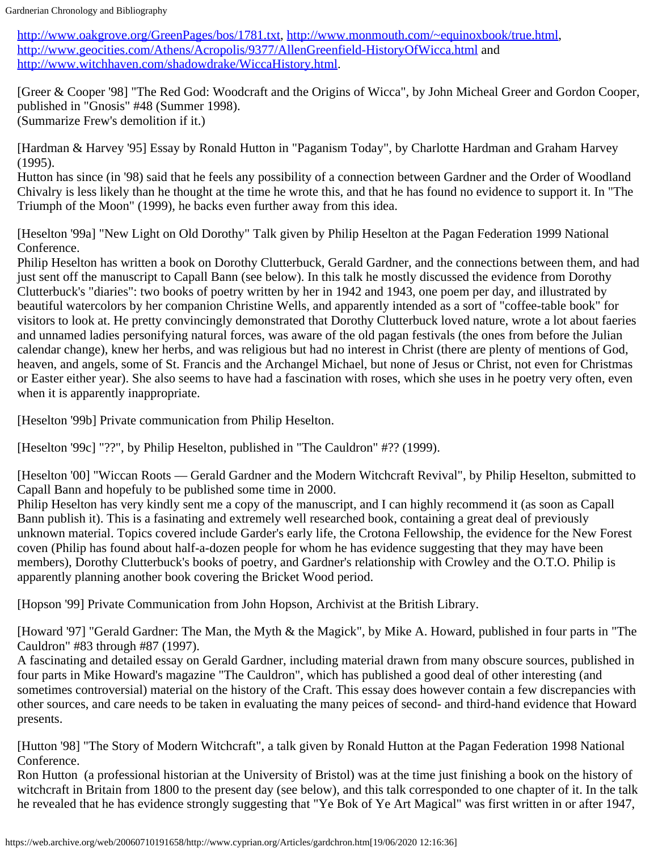[http://www.oakgrove.org/GreenPages/bos/1781.txt,](https://web.archive.org/web/20060710191658/http://www.oakgrove.org/GreenPages/bos/1781.txt) [http://www.monmouth.com/~equinoxbook/true.html,](https://web.archive.org/web/20060710191658/http://www.monmouth.com/~equinoxbook/true.html) [http://www.geocities.com/Athens/Acropolis/9377/AllenGreenfield-HistoryOfWicca.html](https://web.archive.org/web/20060710191658/http://www.geocities.com/Athens/Acropolis/9377/AllenGreenfield-HistoryOfWicca.html) and [http://www.witchhaven.com/shadowdrake/WiccaHistory.html](https://web.archive.org/web/20060710191658/http://www.witchhaven.com/shadowdrake/WiccaHistory.html).

<span id="page-12-5"></span>[Greer & Cooper '98] "The Red God: Woodcraft and the Origins of Wicca", by John Micheal Greer and Gordon Cooper, published in "Gnosis" #48 (Summer 1998). (Summarize Frew's demolition if it.)

<span id="page-12-6"></span>[Hardman & Harvey '95] Essay by Ronald Hutton in "Paganism Today", by Charlotte Hardman and Graham Harvey (1995).

Hutton has since (in '98) said that he feels any possibility of a connection between Gardner and the Order of Woodland Chivalry is less likely than he thought at the time he wrote this, and that he has found no evidence to support it. In "The Triumph of the Moon" (1999), he backs even further away from this idea.

<span id="page-12-0"></span>[Heselton '99a] "New Light on Old Dorothy" Talk given by Philip Heselton at the Pagan Federation 1999 National Conference.

Philip Heselton has written a book on Dorothy Clutterbuck, Gerald Gardner, and the connections between them, and had just sent off the manuscript to Capall Bann (see below). In this talk he mostly discussed the evidence from Dorothy Clutterbuck's "diaries": two books of poetry written by her in 1942 and 1943, one poem per day, and illustrated by beautiful watercolors by her companion Christine Wells, and apparently intended as a sort of "coffee-table book" for visitors to look at. He pretty convincingly demonstrated that Dorothy Clutterbuck loved nature, wrote a lot about faeries and unnamed ladies personifying natural forces, was aware of the old pagan festivals (the ones from before the Julian calendar change), knew her herbs, and was religious but had no interest in Christ (there are plenty of mentions of God, heaven, and angels, some of St. Francis and the Archangel Michael, but none of Jesus or Christ, not even for Christmas or Easter either year). She also seems to have had a fascination with roses, which she uses in he poetry very often, even when it is apparently inappropriate.

<span id="page-12-1"></span>[Heselton '99b] Private communication from Philip Heselton.

[Heselton '99c] "??", by Philip Heselton, published in "The Cauldron" #?? (1999).

<span id="page-12-4"></span>[Heselton '00] "Wiccan Roots — Gerald Gardner and the Modern Witchcraft Revival", by Philip Heselton, submitted to Capall Bann and hopefuly to be published some time in 2000.

Philip Heselton has very kindly sent me a copy of the manuscript, and I can highly recommend it (as soon as Capall Bann publish it). This is a fasinating and extremely well researched book, containing a great deal of previously unknown material. Topics covered include Garder's early life, the Crotona Fellowship, the evidence for the New Forest coven (Philip has found about half-a-dozen people for whom he has evidence suggesting that they may have been members), Dorothy Clutterbuck's books of poetry, and Gardner's relationship with Crowley and the O.T.O. Philip is apparently planning another book covering the Bricket Wood period.

<span id="page-12-3"></span>[Hopson '99] Private Communication from John Hopson, Archivist at the British Library.

<span id="page-12-2"></span>[Howard '97] "Gerald Gardner: The Man, the Myth & the Magick", by Mike A. Howard, published in four parts in "The Cauldron" #83 through #87 (1997).

A fascinating and detailed essay on Gerald Gardner, including material drawn from many obscure sources, published in four parts in Mike Howard's magazine "The Cauldron", which has published a good deal of other interesting (and sometimes controversial) material on the history of the Craft. This essay does however contain a few discrepancies with other sources, and care needs to be taken in evaluating the many peices of second- and third-hand evidence that Howard presents.

<span id="page-12-7"></span>[Hutton '98] "The Story of Modern Witchcraft", a talk given by Ronald Hutton at the Pagan Federation 1998 National Conference.

Ron Hutton (a professional historian at the University of Bristol) was at the time just finishing a book on the history of witchcraft in Britain from 1800 to the present day (see below), and this talk corresponded to one chapter of it. In the talk he revealed that he has evidence strongly suggesting that "Ye Bok of Ye Art Magical" was first written in or after 1947,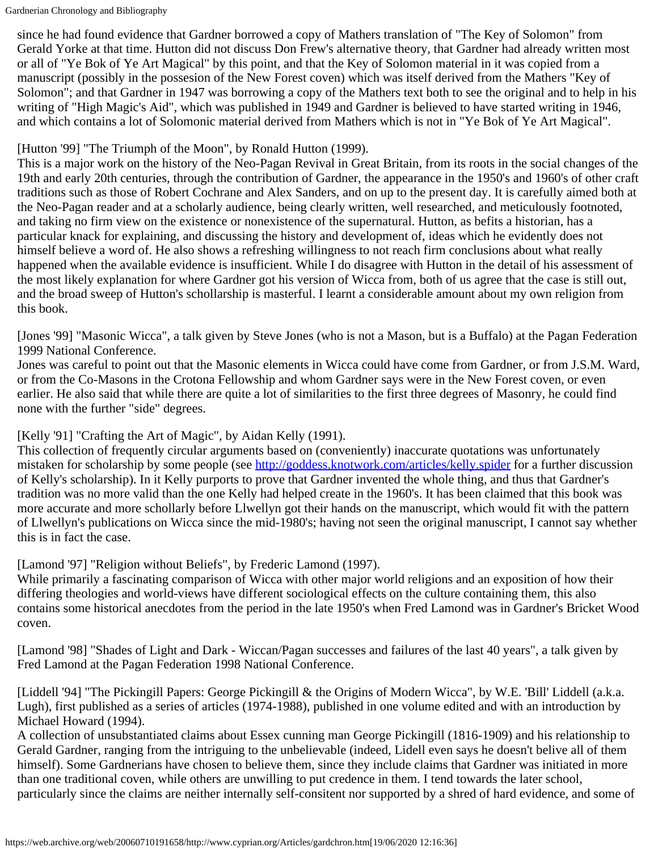since he had found evidence that Gardner borrowed a copy of Mathers translation of "The Key of Solomon" from Gerald Yorke at that time. Hutton did not discuss Don Frew's alternative theory, that Gardner had already written most or all of "Ye Bok of Ye Art Magical" by this point, and that the Key of Solomon material in it was copied from a manuscript (possibly in the possesion of the New Forest coven) which was itself derived from the Mathers "Key of Solomon"; and that Gardner in 1947 was borrowing a copy of the Mathers text both to see the original and to help in his writing of "High Magic's Aid", which was published in 1949 and Gardner is believed to have started writing in 1946, and which contains a lot of Solomonic material derived from Mathers which is not in "Ye Bok of Ye Art Magical".

### [Hutton '99] "The Triumph of the Moon", by Ronald Hutton (1999).

This is a major work on the history of the Neo-Pagan Revival in Great Britain, from its roots in the social changes of the 19th and early 20th centuries, through the contribution of Gardner, the appearance in the 1950's and 1960's of other craft traditions such as those of Robert Cochrane and Alex Sanders, and on up to the present day. It is carefully aimed both at the Neo-Pagan reader and at a scholarly audience, being clearly written, well researched, and meticulously footnoted, and taking no firm view on the existence or nonexistence of the supernatural. Hutton, as befits a historian, has a particular knack for explaining, and discussing the history and development of, ideas which he evidently does not himself believe a word of. He also shows a refreshing willingness to not reach firm conclusions about what really happened when the available evidence is insufficient. While I do disagree with Hutton in the detail of his assessment of the most likely explanation for where Gardner got his version of Wicca from, both of us agree that the case is still out, and the broad sweep of Hutton's schollarship is masterful. I learnt a considerable amount about my own religion from this book.

[Jones '99] "Masonic Wicca", a talk given by Steve Jones (who is not a Mason, but is a Buffalo) at the Pagan Federation 1999 National Conference.

Jones was careful to point out that the Masonic elements in Wicca could have come from Gardner, or from J.S.M. Ward, or from the Co-Masons in the Crotona Fellowship and whom Gardner says were in the New Forest coven, or even earlier. He also said that while there are quite a lot of similarities to the first three degrees of Masonry, he could find none with the further "side" degrees.

### [Kelly '91] "Crafting the Art of Magic", by Aidan Kelly (1991).

This collection of frequently circular arguments based on (conveniently) inaccurate quotations was unfortunately mistaken for scholarship by some people (see [http://goddess.knotwork.com/articles/kelly.spider](https://web.archive.org/web/20060710191658/http://goddess.knotwork.com/articles/kelly.spider) for a further discussion of Kelly's scholarship). In it Kelly purports to prove that Gardner invented the whole thing, and thus that Gardner's tradition was no more valid than the one Kelly had helped create in the 1960's. It has been claimed that this book was more accurate and more schollarly before Llwellyn got their hands on the manuscript, which would fit with the pattern of Llwellyn's publications on Wicca since the mid-1980's; having not seen the original manuscript, I cannot say whether this is in fact the case.

<span id="page-13-0"></span>[Lamond '97] "Religion without Beliefs", by Frederic Lamond (1997).

While primarily a fascinating comparison of Wicca with other major world religions and an exposition of how their differing theologies and world-views have different sociological effects on the culture containing them, this also contains some historical anecdotes from the period in the late 1950's when Fred Lamond was in Gardner's Bricket Wood coven.

<span id="page-13-1"></span>[Lamond '98] "Shades of Light and Dark - Wiccan/Pagan successes and failures of the last 40 years", a talk given by Fred Lamond at the Pagan Federation 1998 National Conference.

[Liddell '94] "The Pickingill Papers: George Pickingill & the Origins of Modern Wicca", by W.E. 'Bill' Liddell (a.k.a. Lugh), first published as a series of articles (1974-1988), published in one volume edited and with an introduction by Michael Howard (1994).

A collection of unsubstantiated claims about Essex cunning man George Pickingill (1816-1909) and his relationship to Gerald Gardner, ranging from the intriguing to the unbelievable (indeed, Lidell even says he doesn't belive all of them himself). Some Gardnerians have chosen to believe them, since they include claims that Gardner was initiated in more than one traditional coven, while others are unwilling to put credence in them. I tend towards the later school, particularly since the claims are neither internally self-consitent nor supported by a shred of hard evidence, and some of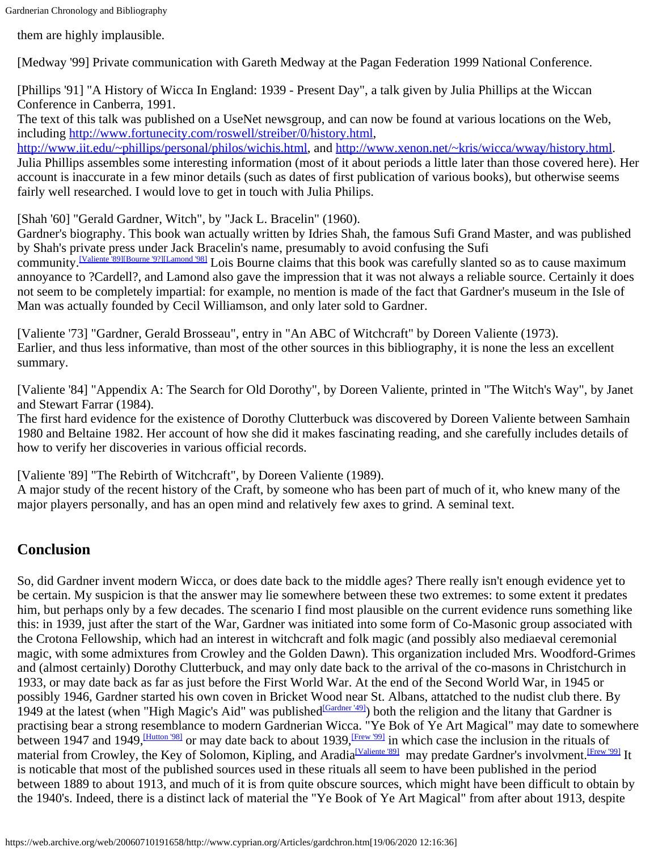them are highly implausible.

[Medway '99] Private communication with Gareth Medway at the Pagan Federation 1999 National Conference.

<span id="page-14-4"></span>[Phillips '91] "A History of Wicca In England: 1939 - Present Day", a talk given by Julia Phillips at the Wiccan Conference in Canberra, 1991.

The text of this talk was published on a UseNet newsgroup, and can now be found at various locations on the Web, including [http://www.fortunecity.com/roswell/streiber/0/history.html](https://web.archive.org/web/20060710191658/http://www.fortunecity.com/roswell/streiber/0/history.html),

[http://www.iit.edu/~phillips/personal/philos/wichis.html](https://web.archive.org/web/20060710191658/http://www.iit.edu/~phillips/personal/philos/wichis.html), and [http://www.xenon.net/~kris/wicca/wway/history.html](https://web.archive.org/web/20060710191658/http://www.xenon.net/~kris/wicca/wway/history.html). Julia Phillips assembles some interesting information (most of it about periods a little later than those covered here). Her account is inaccurate in a few minor details (such as dates of first publication of various books), but otherwise seems fairly well researched. I would love to get in touch with Julia Philips.

<span id="page-14-2"></span>[Shah '60] "Gerald Gardner, Witch", by "Jack L. Bracelin" (1960).

Gardner's biography. This book wan actually written by Idries Shah, the famous Sufi Grand Master, and was published by Shah's private press under Jack Bracelin's name, presumably to avoid confusing the Sufi

community.<sup>[Valiente 89[\]\[Bourne '9?\]](#page-10-0)[\[Lamond](#page-13-1) '98]</sup> Lois Bourne claims that this book was carefully slanted so as to cause maximum annoyance to ?Cardell?, and Lamond also gave the impression that it was not always a reliable source. Certainly it does not seem to be completely impartial: for example, no mention is made of the fact that Gardner's museum in the Isle of Man was actually founded by Cecil Williamson, and only later sold to Gardner.

<span id="page-14-3"></span>[Valiente '73] "Gardner, Gerald Brosseau", entry in "An ABC of Witchcraft" by Doreen Valiente (1973). Earlier, and thus less informative, than most of the other sources in this bibliography, it is none the less an excellent summary.

<span id="page-14-0"></span>[Valiente '84] "Appendix A: The Search for Old Dorothy", by Doreen Valiente, printed in "The Witch's Way", by Janet and Stewart Farrar (1984).

The first hard evidence for the existence of Dorothy Clutterbuck was discovered by Doreen Valiente between Samhain 1980 and Beltaine 1982. Her account of how she did it makes fascinating reading, and she carefully includes details of how to verify her discoveries in various official records.

<span id="page-14-1"></span>[Valiente '89] "The Rebirth of Witchcraft", by Doreen Valiente (1989).

A major study of the recent history of the Craft, by someone who has been part of much of it, who knew many of the major players personally, and has an open mind and relatively few axes to grind. A seminal text.

## **Conclusion**

So, did Gardner invent modern Wicca, or does date back to the middle ages? There really isn't enough evidence yet to be certain. My suspicion is that the answer may lie somewhere between these two extremes: to some extent it predates him, but perhaps only by a few decades. The scenario I find most plausible on the current evidence runs something like this: in 1939, just after the start of the War, Gardner was initiated into some form of Co-Masonic group associated with the Crotona Fellowship, which had an interest in witchcraft and folk magic (and possibly also mediaeval ceremonial magic, with some admixtures from Crowley and the Golden Dawn). This organization included Mrs. Woodford-Grimes and (almost certainly) Dorothy Clutterbuck, and may only date back to the arrival of the co-masons in Christchurch in 1933, or may date back as far as just before the First World War. At the end of the Second World War, in 1945 or possibly 1946, Gardner started his own coven in Bricket Wood near St. Albans, attatched to the nudist club there. By 1949 at the latest (when "High Magic's Aid" was published  $\frac{[Gardner 49]}{[Gardner 49]}$ ) both the religion and the litany that Gardner is practising bear a strong resemblance to modern Gardnerian Wicca. "Ye Bok of Ye Art Magical" may date to somewhere between 1947 and 1949, *Hutton '981* or may date back to about 1939, *Frew '991* in which case the inclusion in the rituals of material from Crowley, the Key of Solomon, Kipling, and Aradia<sup>[Valiente '89]</sup> may predate Gardner's involvment.<sup>[Frew '99]</sup> It is noticable that most of the published sources used in these rituals all seem to have been published in the period between 1889 to about 1913, and much of it is from quite obscure sources, which might have been difficult to obtain by the 1940's. Indeed, there is a distinct lack of material the "Ye Book of Ye Art Magical" from after about 1913, despite